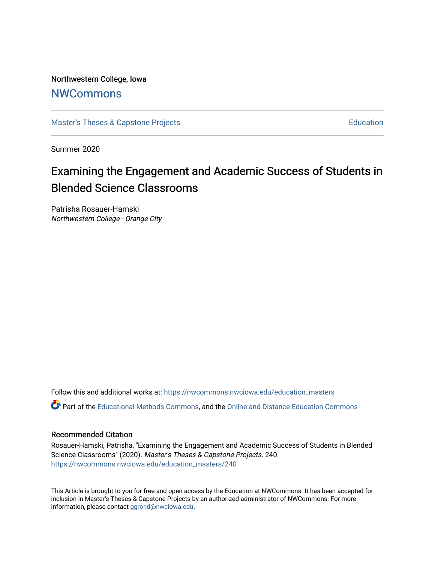Northwestern College, Iowa

# [NWCommons](https://nwcommons.nwciowa.edu/)

[Master's Theses & Capstone Projects](https://nwcommons.nwciowa.edu/education_masters) **Education** Education

Summer 2020

# Examining the Engagement and Academic Success of Students in Blended Science Classrooms

Patrisha Rosauer-Hamski Northwestern College - Orange City

Follow this and additional works at: [https://nwcommons.nwciowa.edu/education\\_masters](https://nwcommons.nwciowa.edu/education_masters?utm_source=nwcommons.nwciowa.edu%2Feducation_masters%2F240&utm_medium=PDF&utm_campaign=PDFCoverPages)

Part of the [Educational Methods Commons,](http://network.bepress.com/hgg/discipline/1227?utm_source=nwcommons.nwciowa.edu%2Feducation_masters%2F240&utm_medium=PDF&utm_campaign=PDFCoverPages) and the [Online and Distance Education Commons](http://network.bepress.com/hgg/discipline/1296?utm_source=nwcommons.nwciowa.edu%2Feducation_masters%2F240&utm_medium=PDF&utm_campaign=PDFCoverPages) 

# Recommended Citation

Rosauer-Hamski, Patrisha, "Examining the Engagement and Academic Success of Students in Blended Science Classrooms" (2020). Master's Theses & Capstone Projects. 240. [https://nwcommons.nwciowa.edu/education\\_masters/240](https://nwcommons.nwciowa.edu/education_masters/240?utm_source=nwcommons.nwciowa.edu%2Feducation_masters%2F240&utm_medium=PDF&utm_campaign=PDFCoverPages)

This Article is brought to you for free and open access by the Education at NWCommons. It has been accepted for inclusion in Master's Theses & Capstone Projects by an authorized administrator of NWCommons. For more information, please contact [ggrond@nwciowa.edu](mailto:ggrond@nwciowa.edu).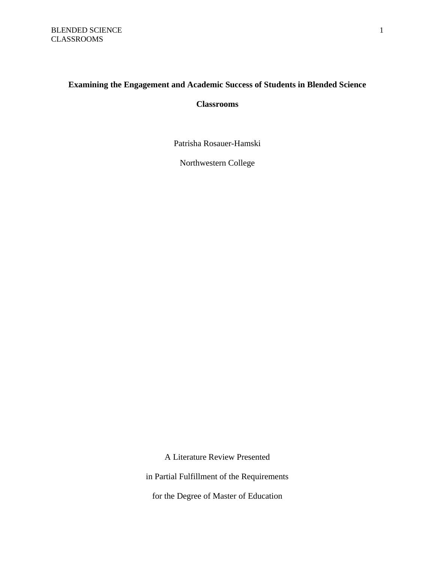# **Examining the Engagement and Academic Success of Students in Blended Science**

# **Classrooms**

Patrisha Rosauer-Hamski

Northwestern College

A Literature Review Presented in Partial Fulfillment of the Requirements for the Degree of Master of Education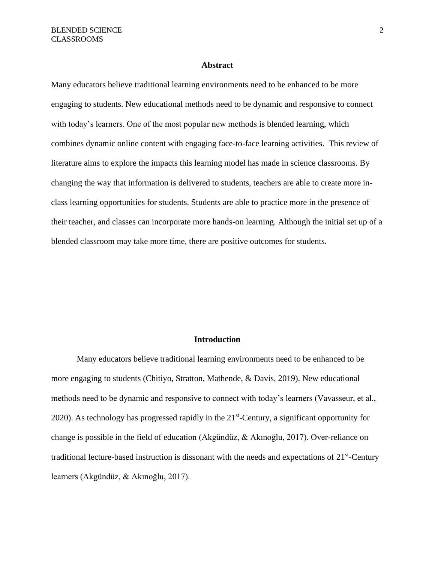#### **Abstract**

Many educators believe traditional learning environments need to be enhanced to be more engaging to students. New educational methods need to be dynamic and responsive to connect with today's learners. One of the most popular new methods is blended learning, which combines dynamic online content with engaging face-to-face learning activities. This review of literature aims to explore the impacts this learning model has made in science classrooms. By changing the way that information is delivered to students, teachers are able to create more inclass learning opportunities for students. Students are able to practice more in the presence of their teacher, and classes can incorporate more hands-on learning. Although the initial set up of a blended classroom may take more time, there are positive outcomes for students.

# **Introduction**

 Many educators believe traditional learning environments need to be enhanced to be more engaging to students (Chitiyo, Stratton, Mathende, & Davis, 2019). New educational methods need to be dynamic and responsive to connect with today's learners (Vavasseur, et al., 2020). As technology has progressed rapidly in the 21<sup>st</sup>-Century, a significant opportunity for change is possible in the field of education (Akgündüz, & Akınoğlu, 2017). Over-reliance on traditional lecture-based instruction is dissonant with the needs and expectations of  $21<sup>st</sup>$ -Century learners (Akgündüz, & Akınoğlu, 2017).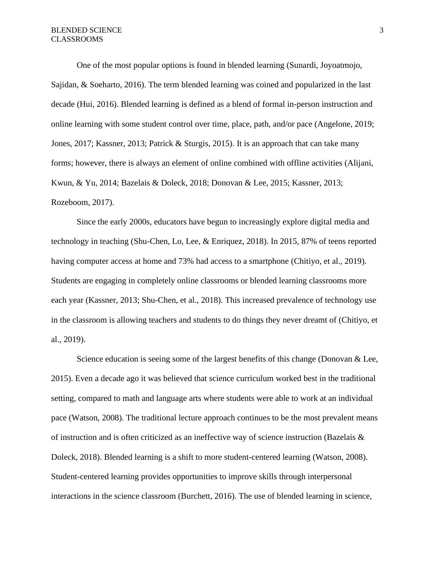One of the most popular options is found in blended learning (Sunardi, Joyoatmojo, Sajidan, & Soeharto, 2016). The term blended learning was coined and popularized in the last decade (Hui, 2016). Blended learning is defined as a blend of formal in-person instruction and online learning with some student control over time, place, path, and/or pace (Angelone, 2019; Jones, 2017; Kassner, 2013; Patrick & Sturgis, 2015). It is an approach that can take many forms; however, there is always an element of online combined with offline activities (Alijani, Kwun, & Yu, 2014; Bazelais & Doleck, 2018; Donovan & Lee, 2015; Kassner, 2013; Rozeboom, 2017).

 Since the early 2000s, educators have begun to increasingly explore digital media and technology in teaching (Shu-Chen, Lo, Lee, & Enriquez, 2018). In 2015, 87% of teens reported having computer access at home and 73% had access to a smartphone (Chitiyo, et al., 2019). Students are engaging in completely online classrooms or blended learning classrooms more each year (Kassner, 2013; Shu-Chen, et al., 2018). This increased prevalence of technology use in the classroom is allowing teachers and students to do things they never dreamt of (Chitiyo, et al., 2019).

Science education is seeing some of the largest benefits of this change (Donovan & Lee, 2015). Even a decade ago it was believed that science curriculum worked best in the traditional setting, compared to math and language arts where students were able to work at an individual pace (Watson, 2008). The traditional lecture approach continues to be the most prevalent means of instruction and is often criticized as an ineffective way of science instruction (Bazelais & Doleck, 2018). Blended learning is a shift to more student-centered learning (Watson, 2008). Student-centered learning provides opportunities to improve skills through interpersonal interactions in the science classroom (Burchett, 2016). The use of blended learning in science,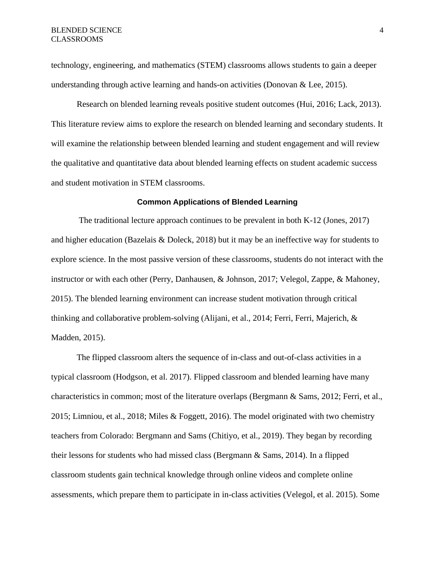technology, engineering, and mathematics (STEM) classrooms allows students to gain a deeper understanding through active learning and hands-on activities (Donovan & Lee, 2015).

Research on blended learning reveals positive student outcomes (Hui, 2016; Lack, 2013). This literature review aims to explore the research on blended learning and secondary students. It will examine the relationship between blended learning and student engagement and will review the qualitative and quantitative data about blended learning effects on student academic success and student motivation in STEM classrooms.

## **Common Applications of Blended Learning**

The traditional lecture approach continues to be prevalent in both K-12 (Jones, 2017) and higher education (Bazelais & Doleck, 2018) but it may be an ineffective way for students to explore science. In the most passive version of these classrooms, students do not interact with the instructor or with each other (Perry, Danhausen, & Johnson, 2017; Velegol, Zappe, & Mahoney, 2015). The blended learning environment can increase student motivation through critical thinking and collaborative problem-solving (Alijani, et al., 2014; Ferri, Ferri, Majerich, & Madden, 2015).

The flipped classroom alters the sequence of in-class and out-of-class activities in a typical classroom (Hodgson, et al. 2017). Flipped classroom and blended learning have many characteristics in common; most of the literature overlaps (Bergmann & Sams, 2012; Ferri, et al., 2015; Limniou, et al., 2018; Miles & Foggett, 2016). The model originated with two chemistry teachers from Colorado: Bergmann and Sams (Chitiyo, et al., 2019). They began by recording their lessons for students who had missed class (Bergmann & Sams, 2014). In a flipped classroom students gain technical knowledge through online videos and complete online assessments, which prepare them to participate in in-class activities (Velegol, et al. 2015). Some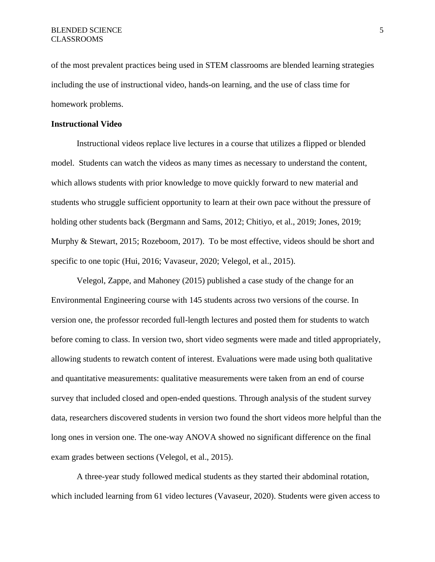of the most prevalent practices being used in STEM classrooms are blended learning strategies including the use of instructional video, hands-on learning, and the use of class time for homework problems.

# **Instructional Video**

Instructional videos replace live lectures in a course that utilizes a flipped or blended model. Students can watch the videos as many times as necessary to understand the content, which allows students with prior knowledge to move quickly forward to new material and students who struggle sufficient opportunity to learn at their own pace without the pressure of holding other students back (Bergmann and Sams, 2012; Chitiyo, et al., 2019; Jones, 2019; Murphy & Stewart, 2015; Rozeboom, 2017). To be most effective, videos should be short and specific to one topic (Hui, 2016; Vavaseur, 2020; Velegol, et al., 2015).

Velegol, Zappe, and Mahoney (2015) published a case study of the change for an Environmental Engineering course with 145 students across two versions of the course. In version one, the professor recorded full-length lectures and posted them for students to watch before coming to class. In version two, short video segments were made and titled appropriately, allowing students to rewatch content of interest. Evaluations were made using both qualitative and quantitative measurements: qualitative measurements were taken from an end of course survey that included closed and open-ended questions. Through analysis of the student survey data, researchers discovered students in version two found the short videos more helpful than the long ones in version one. The one-way ANOVA showed no significant difference on the final exam grades between sections (Velegol, et al., 2015).

A three-year study followed medical students as they started their abdominal rotation, which included learning from 61 video lectures (Vavaseur, 2020). Students were given access to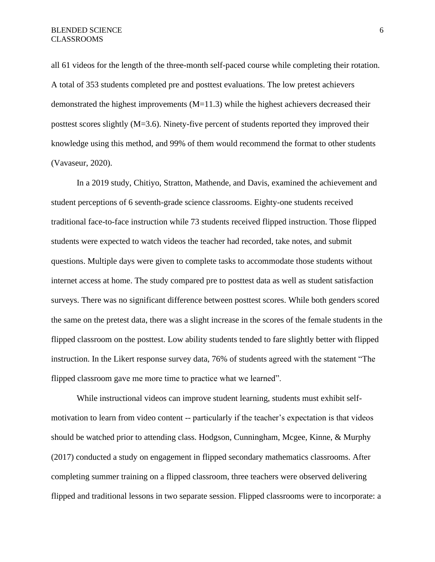all 61 videos for the length of the three-month self-paced course while completing their rotation. A total of 353 students completed pre and posttest evaluations. The low pretest achievers demonstrated the highest improvements  $(M=11.3)$  while the highest achievers decreased their posttest scores slightly (M=3.6). Ninety-five percent of students reported they improved their knowledge using this method, and 99% of them would recommend the format to other students (Vavaseur, 2020).

In a 2019 study, Chitiyo, Stratton, Mathende, and Davis, examined the achievement and student perceptions of 6 seventh-grade science classrooms. Eighty-one students received traditional face-to-face instruction while 73 students received flipped instruction. Those flipped students were expected to watch videos the teacher had recorded, take notes, and submit questions. Multiple days were given to complete tasks to accommodate those students without internet access at home. The study compared pre to posttest data as well as student satisfaction surveys. There was no significant difference between posttest scores. While both genders scored the same on the pretest data, there was a slight increase in the scores of the female students in the flipped classroom on the posttest. Low ability students tended to fare slightly better with flipped instruction. In the Likert response survey data, 76% of students agreed with the statement "The flipped classroom gave me more time to practice what we learned".

While instructional videos can improve student learning, students must exhibit selfmotivation to learn from video content -- particularly if the teacher's expectation is that videos should be watched prior to attending class. Hodgson, Cunningham, Mcgee, Kinne, & Murphy (2017) conducted a study on engagement in flipped secondary mathematics classrooms. After completing summer training on a flipped classroom, three teachers were observed delivering flipped and traditional lessons in two separate session. Flipped classrooms were to incorporate: a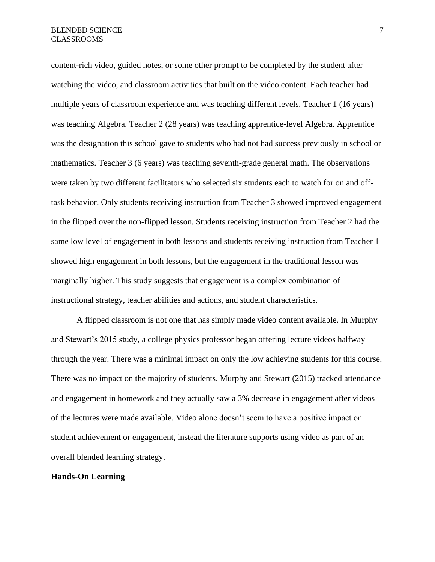content-rich video, guided notes, or some other prompt to be completed by the student after watching the video, and classroom activities that built on the video content. Each teacher had multiple years of classroom experience and was teaching different levels. Teacher 1 (16 years) was teaching Algebra. Teacher 2 (28 years) was teaching apprentice-level Algebra. Apprentice was the designation this school gave to students who had not had success previously in school or mathematics. Teacher 3 (6 years) was teaching seventh-grade general math. The observations were taken by two different facilitators who selected six students each to watch for on and offtask behavior. Only students receiving instruction from Teacher 3 showed improved engagement in the flipped over the non-flipped lesson. Students receiving instruction from Teacher 2 had the same low level of engagement in both lessons and students receiving instruction from Teacher 1 showed high engagement in both lessons, but the engagement in the traditional lesson was marginally higher. This study suggests that engagement is a complex combination of instructional strategy, teacher abilities and actions, and student characteristics.

A flipped classroom is not one that has simply made video content available. In Murphy and Stewart's 2015 study, a college physics professor began offering lecture videos halfway through the year. There was a minimal impact on only the low achieving students for this course. There was no impact on the majority of students. Murphy and Stewart (2015) tracked attendance and engagement in homework and they actually saw a 3% decrease in engagement after videos of the lectures were made available. Video alone doesn't seem to have a positive impact on student achievement or engagement, instead the literature supports using video as part of an overall blended learning strategy.

# **Hands-On Learning**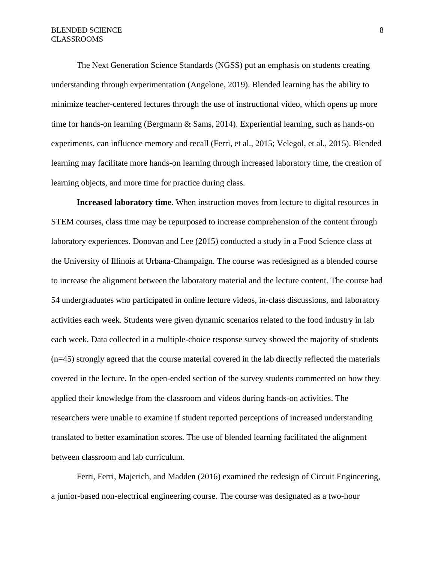The Next Generation Science Standards (NGSS) put an emphasis on students creating understanding through experimentation (Angelone, 2019). Blended learning has the ability to minimize teacher-centered lectures through the use of instructional video, which opens up more time for hands-on learning (Bergmann & Sams, 2014). Experiential learning, such as hands-on experiments, can influence memory and recall (Ferri, et al., 2015; Velegol, et al., 2015). Blended learning may facilitate more hands-on learning through increased laboratory time, the creation of learning objects, and more time for practice during class.

**Increased laboratory time**. When instruction moves from lecture to digital resources in STEM courses, class time may be repurposed to increase comprehension of the content through laboratory experiences. Donovan and Lee (2015) conducted a study in a Food Science class at the University of Illinois at Urbana-Champaign. The course was redesigned as a blended course to increase the alignment between the laboratory material and the lecture content. The course had 54 undergraduates who participated in online lecture videos, in-class discussions, and laboratory activities each week. Students were given dynamic scenarios related to the food industry in lab each week. Data collected in a multiple-choice response survey showed the majority of students (n=45) strongly agreed that the course material covered in the lab directly reflected the materials covered in the lecture. In the open-ended section of the survey students commented on how they applied their knowledge from the classroom and videos during hands-on activities. The researchers were unable to examine if student reported perceptions of increased understanding translated to better examination scores. The use of blended learning facilitated the alignment between classroom and lab curriculum.

Ferri, Ferri, Majerich, and Madden (2016) examined the redesign of Circuit Engineering, a junior-based non-electrical engineering course. The course was designated as a two-hour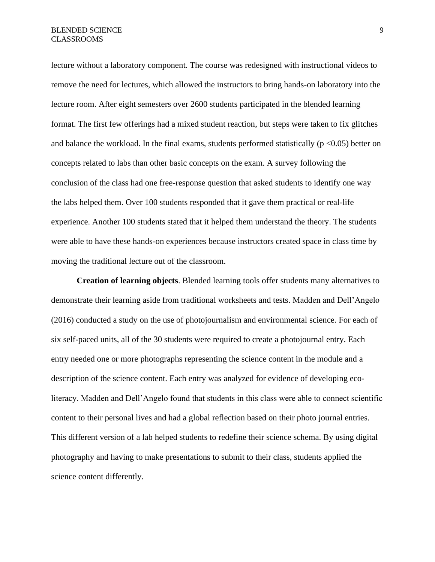lecture without a laboratory component. The course was redesigned with instructional videos to remove the need for lectures, which allowed the instructors to bring hands-on laboratory into the lecture room. After eight semesters over 2600 students participated in the blended learning format. The first few offerings had a mixed student reaction, but steps were taken to fix glitches and balance the workload. In the final exams, students performed statistically ( $p \le 0.05$ ) better on concepts related to labs than other basic concepts on the exam. A survey following the conclusion of the class had one free-response question that asked students to identify one way the labs helped them. Over 100 students responded that it gave them practical or real-life experience. Another 100 students stated that it helped them understand the theory. The students were able to have these hands-on experiences because instructors created space in class time by moving the traditional lecture out of the classroom.

**Creation of learning objects**. Blended learning tools offer students many alternatives to demonstrate their learning aside from traditional worksheets and tests. Madden and Dell'Angelo (2016) conducted a study on the use of photojournalism and environmental science. For each of six self-paced units, all of the 30 students were required to create a photojournal entry. Each entry needed one or more photographs representing the science content in the module and a description of the science content. Each entry was analyzed for evidence of developing ecoliteracy. Madden and Dell'Angelo found that students in this class were able to connect scientific content to their personal lives and had a global reflection based on their photo journal entries. This different version of a lab helped students to redefine their science schema. By using digital photography and having to make presentations to submit to their class, students applied the science content differently.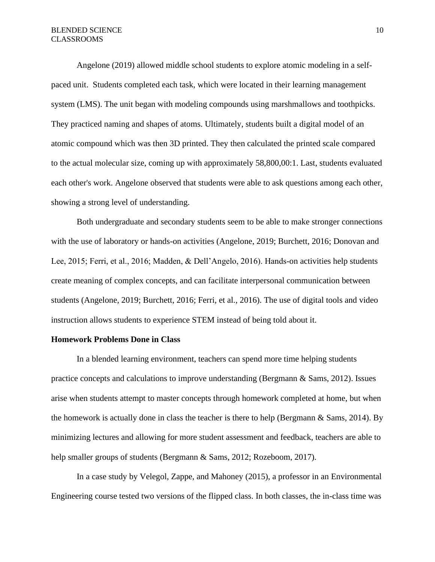Angelone (2019) allowed middle school students to explore atomic modeling in a selfpaced unit. Students completed each task, which were located in their learning management system (LMS). The unit began with modeling compounds using marshmallows and toothpicks. They practiced naming and shapes of atoms. Ultimately, students built a digital model of an atomic compound which was then 3D printed. They then calculated the printed scale compared to the actual molecular size, coming up with approximately 58,800,00:1. Last, students evaluated each other's work. Angelone observed that students were able to ask questions among each other, showing a strong level of understanding.

Both undergraduate and secondary students seem to be able to make stronger connections with the use of laboratory or hands-on activities (Angelone, 2019; Burchett, 2016; Donovan and Lee, 2015; Ferri, et al., 2016; Madden, & Dell'Angelo, 2016). Hands-on activities help students create meaning of complex concepts, and can facilitate interpersonal communication between students (Angelone, 2019; Burchett, 2016; Ferri, et al., 2016). The use of digital tools and video instruction allows students to experience STEM instead of being told about it.

#### **Homework Problems Done in Class**

In a blended learning environment, teachers can spend more time helping students practice concepts and calculations to improve understanding (Bergmann & Sams, 2012). Issues arise when students attempt to master concepts through homework completed at home, but when the homework is actually done in class the teacher is there to help (Bergmann & Sams, 2014). By minimizing lectures and allowing for more student assessment and feedback, teachers are able to help smaller groups of students (Bergmann & Sams, 2012; Rozeboom, 2017).

In a case study by Velegol, Zappe, and Mahoney (2015), a professor in an Environmental Engineering course tested two versions of the flipped class. In both classes, the in-class time was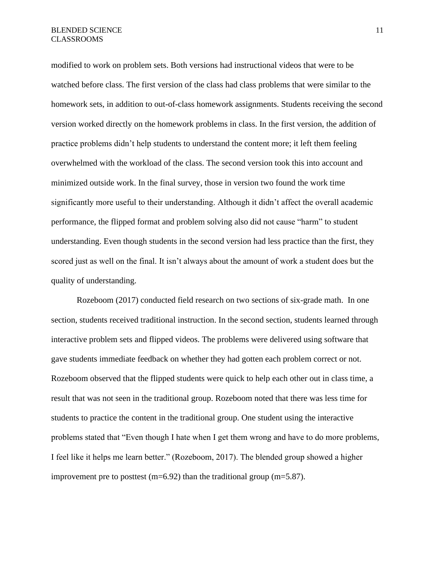modified to work on problem sets. Both versions had instructional videos that were to be watched before class. The first version of the class had class problems that were similar to the homework sets, in addition to out-of-class homework assignments. Students receiving the second version worked directly on the homework problems in class. In the first version, the addition of practice problems didn't help students to understand the content more; it left them feeling overwhelmed with the workload of the class. The second version took this into account and minimized outside work. In the final survey, those in version two found the work time significantly more useful to their understanding. Although it didn't affect the overall academic performance, the flipped format and problem solving also did not cause "harm" to student understanding. Even though students in the second version had less practice than the first, they scored just as well on the final. It isn't always about the amount of work a student does but the quality of understanding.

Rozeboom (2017) conducted field research on two sections of six-grade math. In one section, students received traditional instruction. In the second section, students learned through interactive problem sets and flipped videos. The problems were delivered using software that gave students immediate feedback on whether they had gotten each problem correct or not. Rozeboom observed that the flipped students were quick to help each other out in class time, a result that was not seen in the traditional group. Rozeboom noted that there was less time for students to practice the content in the traditional group. One student using the interactive problems stated that "Even though I hate when I get them wrong and have to do more problems, I feel like it helps me learn better." (Rozeboom, 2017). The blended group showed a higher improvement pre to posttest (m=6.92) than the traditional group (m=5.87).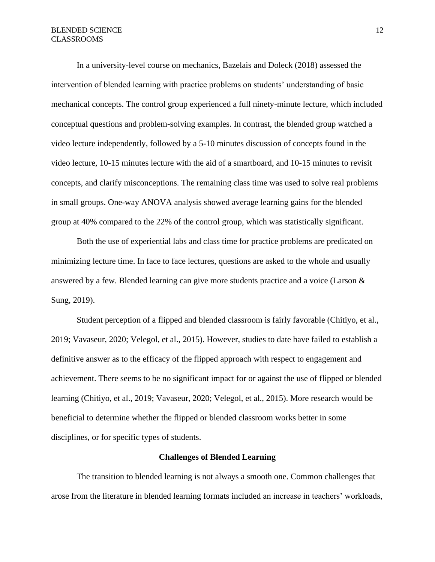In a university-level course on mechanics, Bazelais and Doleck (2018) assessed the intervention of blended learning with practice problems on students' understanding of basic mechanical concepts. The control group experienced a full ninety-minute lecture, which included conceptual questions and problem-solving examples. In contrast, the blended group watched a video lecture independently, followed by a 5-10 minutes discussion of concepts found in the video lecture, 10-15 minutes lecture with the aid of a smartboard, and 10-15 minutes to revisit concepts, and clarify misconceptions. The remaining class time was used to solve real problems in small groups. One-way ANOVA analysis showed average learning gains for the blended group at 40% compared to the 22% of the control group, which was statistically significant.

Both the use of experiential labs and class time for practice problems are predicated on minimizing lecture time. In face to face lectures, questions are asked to the whole and usually answered by a few. Blended learning can give more students practice and a voice (Larson & Sung, 2019).

Student perception of a flipped and blended classroom is fairly favorable (Chitiyo, et al., 2019; Vavaseur, 2020; Velegol, et al., 2015). However, studies to date have failed to establish a definitive answer as to the efficacy of the flipped approach with respect to engagement and achievement. There seems to be no significant impact for or against the use of flipped or blended learning (Chitiyo, et al., 2019; Vavaseur, 2020; Velegol, et al., 2015). More research would be beneficial to determine whether the flipped or blended classroom works better in some disciplines, or for specific types of students.

#### **Challenges of Blended Learning**

The transition to blended learning is not always a smooth one. Common challenges that arose from the literature in blended learning formats included an increase in teachers' workloads,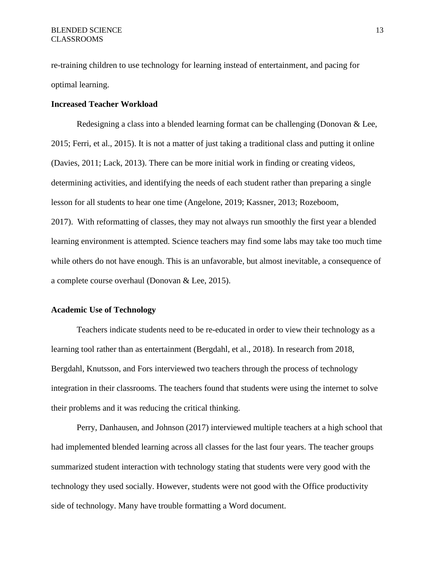re-training children to use technology for learning instead of entertainment, and pacing for optimal learning.

# **Increased Teacher Workload**

Redesigning a class into a blended learning format can be challenging (Donovan & Lee, 2015; Ferri, et al., 2015). It is not a matter of just taking a traditional class and putting it online (Davies, 2011; Lack, 2013). There can be more initial work in finding or creating videos, determining activities, and identifying the needs of each student rather than preparing a single lesson for all students to hear one time (Angelone, 2019; Kassner, 2013; Rozeboom, 2017). With reformatting of classes, they may not always run smoothly the first year a blended learning environment is attempted. Science teachers may find some labs may take too much time while others do not have enough. This is an unfavorable, but almost inevitable, a consequence of a complete course overhaul (Donovan & Lee, 2015).

# **Academic Use of Technology**

Teachers indicate students need to be re-educated in order to view their technology as a learning tool rather than as entertainment (Bergdahl, et al., 2018). In research from 2018, Bergdahl, Knutsson, and Fors interviewed two teachers through the process of technology integration in their classrooms. The teachers found that students were using the internet to solve their problems and it was reducing the critical thinking.

Perry, Danhausen, and Johnson (2017) interviewed multiple teachers at a high school that had implemented blended learning across all classes for the last four years. The teacher groups summarized student interaction with technology stating that students were very good with the technology they used socially. However, students were not good with the Office productivity side of technology. Many have trouble formatting a Word document.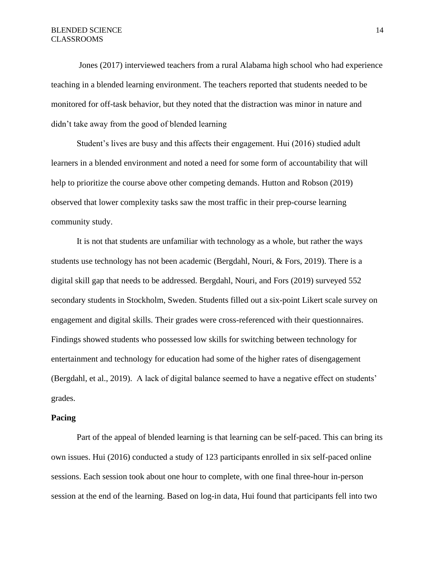Jones (2017) interviewed teachers from a rural Alabama high school who had experience teaching in a blended learning environment. The teachers reported that students needed to be monitored for off-task behavior, but they noted that the distraction was minor in nature and didn't take away from the good of blended learning

Student's lives are busy and this affects their engagement. Hui (2016) studied adult learners in a blended environment and noted a need for some form of accountability that will help to prioritize the course above other competing demands. Hutton and Robson (2019) observed that lower complexity tasks saw the most traffic in their prep-course learning community study.

It is not that students are unfamiliar with technology as a whole, but rather the ways students use technology has not been academic (Bergdahl, Nouri, & Fors, 2019). There is a digital skill gap that needs to be addressed. Bergdahl, Nouri, and Fors (2019) surveyed 552 secondary students in Stockholm, Sweden. Students filled out a six-point Likert scale survey on engagement and digital skills. Their grades were cross-referenced with their questionnaires. Findings showed students who possessed low skills for switching between technology for entertainment and technology for education had some of the higher rates of disengagement (Bergdahl, et al., 2019). A lack of digital balance seemed to have a negative effect on students' grades.

# **Pacing**

Part of the appeal of blended learning is that learning can be self-paced. This can bring its own issues. Hui (2016) conducted a study of 123 participants enrolled in six self-paced online sessions. Each session took about one hour to complete, with one final three-hour in-person session at the end of the learning. Based on log-in data, Hui found that participants fell into two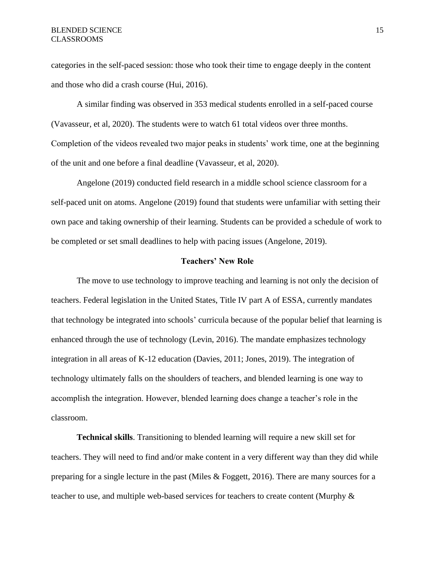categories in the self-paced session: those who took their time to engage deeply in the content and those who did a crash course (Hui, 2016).

A similar finding was observed in 353 medical students enrolled in a self-paced course (Vavasseur, et al, 2020). The students were to watch 61 total videos over three months. Completion of the videos revealed two major peaks in students' work time, one at the beginning of the unit and one before a final deadline (Vavasseur, et al, 2020).

Angelone (2019) conducted field research in a middle school science classroom for a self-paced unit on atoms. Angelone (2019) found that students were unfamiliar with setting their own pace and taking ownership of their learning. Students can be provided a schedule of work to be completed or set small deadlines to help with pacing issues (Angelone, 2019).

# **Teachers' New Role**

The move to use technology to improve teaching and learning is not only the decision of teachers. Federal legislation in the United States, Title IV part A of ESSA, currently mandates that technology be integrated into schools' curricula because of the popular belief that learning is enhanced through the use of technology (Levin, 2016). The mandate emphasizes technology integration in all areas of K-12 education (Davies, 2011; Jones, 2019). The integration of technology ultimately falls on the shoulders of teachers, and blended learning is one way to accomplish the integration. However, blended learning does change a teacher's role in the classroom.

**Technical skills**. Transitioning to blended learning will require a new skill set for teachers. They will need to find and/or make content in a very different way than they did while preparing for a single lecture in the past (Miles & Foggett, 2016). There are many sources for a teacher to use, and multiple web-based services for teachers to create content (Murphy &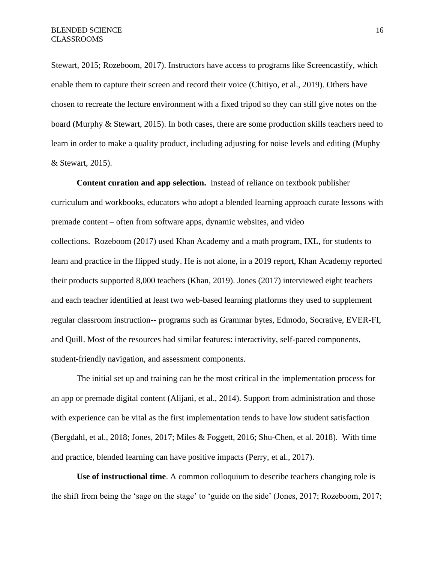Stewart, 2015; Rozeboom, 2017). Instructors have access to programs like Screencastify, which enable them to capture their screen and record their voice (Chitiyo, et al., 2019). Others have chosen to recreate the lecture environment with a fixed tripod so they can still give notes on the board (Murphy & Stewart, 2015). In both cases, there are some production skills teachers need to learn in order to make a quality product, including adjusting for noise levels and editing (Muphy & Stewart, 2015).

**Content curation and app selection.** Instead of reliance on textbook publisher curriculum and workbooks, educators who adopt a blended learning approach curate lessons with premade content – often from software apps, dynamic websites, and video collections. Rozeboom (2017) used Khan Academy and a math program, IXL, for students to learn and practice in the flipped study. He is not alone, in a 2019 report, Khan Academy reported their products supported 8,000 teachers (Khan, 2019). Jones (2017) interviewed eight teachers and each teacher identified at least two web-based learning platforms they used to supplement regular classroom instruction-- programs such as Grammar bytes, Edmodo, Socrative, EVER-FI, and Quill. Most of the resources had similar features: interactivity, self-paced components, student-friendly navigation, and assessment components.

The initial set up and training can be the most critical in the implementation process for an app or premade digital content (Alijani, et al., 2014). Support from administration and those with experience can be vital as the first implementation tends to have low student satisfaction (Bergdahl, et al., 2018; Jones, 2017; Miles & Foggett, 2016; Shu-Chen, et al. 2018). With time and practice, blended learning can have positive impacts (Perry, et al., 2017).

**Use of instructional time**. A common colloquium to describe teachers changing role is the shift from being the 'sage on the stage' to 'guide on the side' (Jones, 2017; Rozeboom, 2017;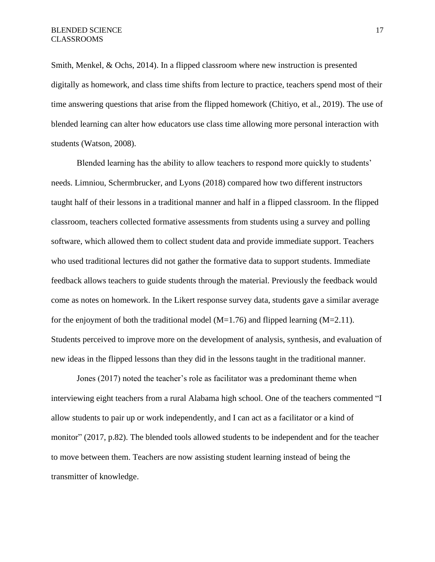Smith, Menkel, & Ochs, 2014). In a flipped classroom where new instruction is presented digitally as homework, and class time shifts from lecture to practice, teachers spend most of their time answering questions that arise from the flipped homework (Chitiyo, et al., 2019). The use of blended learning can alter how educators use class time allowing more personal interaction with students (Watson, 2008).

Blended learning has the ability to allow teachers to respond more quickly to students' needs. Limniou, Schermbrucker, and Lyons (2018) compared how two different instructors taught half of their lessons in a traditional manner and half in a flipped classroom. In the flipped classroom, teachers collected formative assessments from students using a survey and polling software, which allowed them to collect student data and provide immediate support. Teachers who used traditional lectures did not gather the formative data to support students. Immediate feedback allows teachers to guide students through the material. Previously the feedback would come as notes on homework. In the Likert response survey data, students gave a similar average for the enjoyment of both the traditional model ( $M=1.76$ ) and flipped learning ( $M=2.11$ ). Students perceived to improve more on the development of analysis, synthesis, and evaluation of new ideas in the flipped lessons than they did in the lessons taught in the traditional manner.

Jones (2017) noted the teacher's role as facilitator was a predominant theme when interviewing eight teachers from a rural Alabama high school. One of the teachers commented "I allow students to pair up or work independently, and I can act as a facilitator or a kind of monitor" (2017, p.82). The blended tools allowed students to be independent and for the teacher to move between them. Teachers are now assisting student learning instead of being the transmitter of knowledge.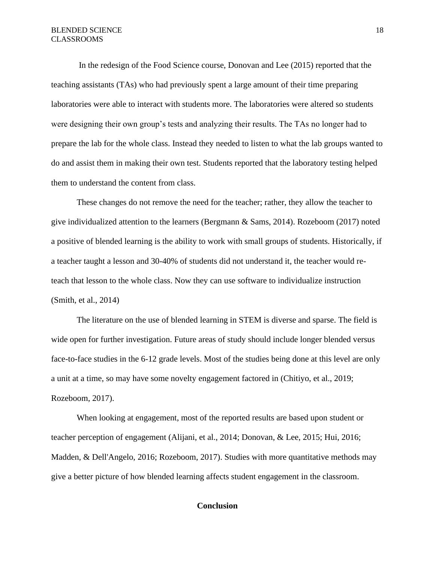In the redesign of the Food Science course, Donovan and Lee (2015) reported that the teaching assistants (TAs) who had previously spent a large amount of their time preparing laboratories were able to interact with students more. The laboratories were altered so students were designing their own group's tests and analyzing their results. The TAs no longer had to prepare the lab for the whole class. Instead they needed to listen to what the lab groups wanted to do and assist them in making their own test. Students reported that the laboratory testing helped them to understand the content from class.

These changes do not remove the need for the teacher; rather, they allow the teacher to give individualized attention to the learners (Bergmann & Sams, 2014). Rozeboom (2017) noted a positive of blended learning is the ability to work with small groups of students. Historically, if a teacher taught a lesson and 30-40% of students did not understand it, the teacher would reteach that lesson to the whole class. Now they can use software to individualize instruction (Smith, et al., 2014)

The literature on the use of blended learning in STEM is diverse and sparse. The field is wide open for further investigation. Future areas of study should include longer blended versus face-to-face studies in the 6-12 grade levels. Most of the studies being done at this level are only a unit at a time, so may have some novelty engagement factored in (Chitiyo, et al., 2019; Rozeboom, 2017).

When looking at engagement, most of the reported results are based upon student or teacher perception of engagement (Alijani, et al., 2014; Donovan, & Lee, 2015; Hui, 2016; Madden, & Dell'Angelo, 2016; Rozeboom, 2017). Studies with more quantitative methods may give a better picture of how blended learning affects student engagement in the classroom.

# **Conclusion**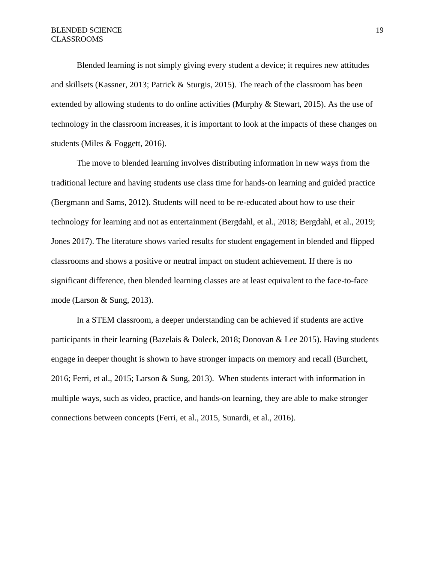Blended learning is not simply giving every student a device; it requires new attitudes and skillsets (Kassner, 2013; Patrick & Sturgis, 2015). The reach of the classroom has been extended by allowing students to do online activities (Murphy & Stewart, 2015). As the use of technology in the classroom increases, it is important to look at the impacts of these changes on students (Miles & Foggett, 2016).

The move to blended learning involves distributing information in new ways from the traditional lecture and having students use class time for hands-on learning and guided practice (Bergmann and Sams, 2012). Students will need to be re-educated about how to use their technology for learning and not as entertainment (Bergdahl, et al., 2018; Bergdahl, et al., 2019; Jones 2017). The literature shows varied results for student engagement in blended and flipped classrooms and shows a positive or neutral impact on student achievement. If there is no significant difference, then blended learning classes are at least equivalent to the face-to-face mode (Larson & Sung, 2013).

In a STEM classroom, a deeper understanding can be achieved if students are active participants in their learning (Bazelais & Doleck, 2018; Donovan & Lee 2015). Having students engage in deeper thought is shown to have stronger impacts on memory and recall (Burchett, 2016; Ferri, et al., 2015; Larson & Sung, 2013). When students interact with information in multiple ways, such as video, practice, and hands-on learning, they are able to make stronger connections between concepts (Ferri, et al., 2015, Sunardi, et al., 2016).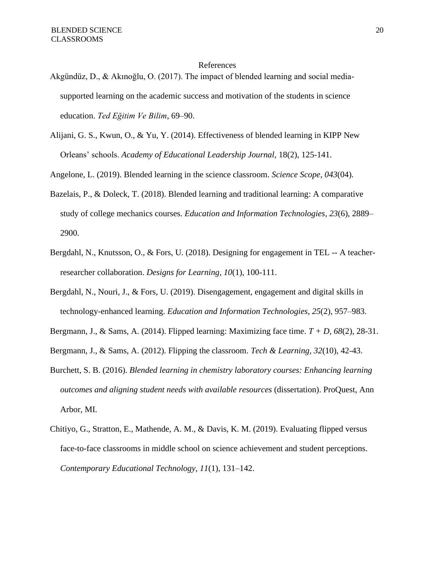#### References

- Akgündüz, D., & Akınoğlu, O. (2017). The impact of blended learning and social mediasupported learning on the academic success and motivation of the students in science education. *Ted Eğitim Ve Bilim*, 69–90.
- Alijani, G. S., Kwun, O., & Yu, Y. (2014). Effectiveness of blended learning in KIPP New Orleans' schools. *Academy of Educational Leadership Journal*, 18(2), 125-141.

Angelone, L. (2019). Blended learning in the science classroom. *Science Scope*, *043*(04).

- Bazelais, P., & Doleck, T. (2018). Blended learning and traditional learning: A comparative study of college mechanics courses. *Education and Information Technologies*, *23*(6), 2889– 2900.
- Bergdahl, N., Knutsson, O., & Fors, U. (2018). Designing for engagement in TEL -- A teacherresearcher collaboration. *Designs for Learning, 10*(1), 100-111.
- Bergdahl, N., Nouri, J., & Fors, U. (2019). Disengagement, engagement and digital skills in technology-enhanced learning. *Education and Information Technologies*, *25*(2), 957–983.
- Bergmann, J., & Sams, A. (2014). Flipped learning: Maximizing face time. *T + D, 68*(2), 28-31.
- Bergmann, J., & Sams, A. (2012). Flipping the classroom. *Tech & Learning, 32*(10), 42-43.
- Burchett, S. B. (2016). *Blended learning in chemistry laboratory courses: Enhancing learning outcomes and aligning student needs with available resources* (dissertation). ProQuest, Ann Arbor, MI.
- Chitiyo, G., Stratton, E., Mathende, A. M., & Davis, K. M. (2019). Evaluating flipped versus face-to-face classrooms in middle school on science achievement and student perceptions. *Contemporary Educational Technology*, *11*(1), 131–142.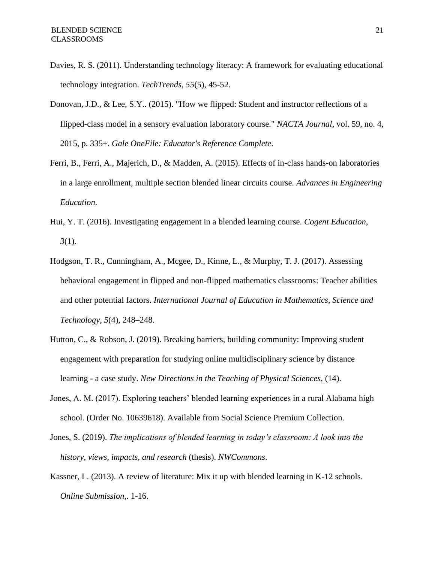- Davies, R. S. (2011). Understanding technology literacy: A framework for evaluating educational technology integration. *TechTrends, 55*(5), 45-52.
- Donovan, J.D., & Lee, S.Y.. (2015). "How we flipped: Student and instructor reflections of a flipped-class model in a sensory evaluation laboratory course." *NACTA Journal*, vol. 59, no. 4, 2015, p. 335+. *Gale OneFile: Educator's Reference Complete*.
- Ferri, B., Ferri, A., Majerich, D., & Madden, A. (2015). Effects of in-class hands-on laboratories in a large enrollment, multiple section blended linear circuits course. *Advances in Engineering Education*.
- Hui, Y. T. (2016). Investigating engagement in a blended learning course. *Cogent Education, 3*(1).
- Hodgson, T. R., Cunningham, A., Mcgee, D., Kinne, L., & Murphy, T. J. (2017). Assessing behavioral engagement in flipped and non-flipped mathematics classrooms: Teacher abilities and other potential factors. *International Journal of Education in Mathematics, Science and Technology*, *5*(4), 248–248.
- Hutton, C., & Robson, J. (2019). Breaking barriers, building community: Improving student engagement with preparation for studying online multidisciplinary science by distance learning - a case study. *New Directions in the Teaching of Physical Sciences*, (14).
- Jones, A. M. (2017). Exploring teachers' blended learning experiences in a rural Alabama high school. (Order No. 10639618). Available from Social Science Premium Collection.
- Jones, S. (2019). *The implications of blended learning in today's classroom: A look into the history, views, impacts, and research* (thesis). *NWCommons*.
- Kassner, L. (2013). A review of literature: Mix it up with blended learning in K-12 schools. *Online Submission,*. 1-16.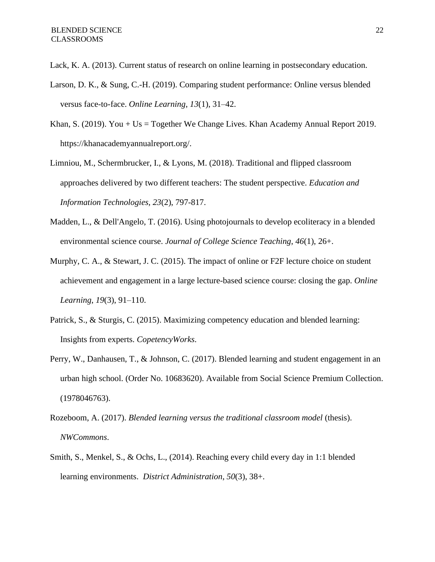Lack, K. A. (2013). Current status of research on online learning in postsecondary education.

- Larson, D. K., & Sung, C.-H. (2019). Comparing student performance: Online versus blended versus face-to-face. *Online Learning*, *13*(1), 31–42.
- Khan, S. (2019). You + Us = Together We Change Lives. Khan Academy Annual Report 2019. https://khanacademyannualreport.org/.
- Limniou, M., Schermbrucker, I., & Lyons, M. (2018). Traditional and flipped classroom approaches delivered by two different teachers: The student perspective. *Education and Information Technologies, 23*(2), 797-817.
- Madden, L., & Dell'Angelo, T. (2016). Using photojournals to develop ecoliteracy in a blended environmental science course. *Journal of College Science Teaching*, *46*(1), 26+.
- Murphy, C. A., & Stewart, J. C. (2015). The impact of online or F2F lecture choice on student achievement and engagement in a large lecture-based science course: closing the gap. *Online Learning*, *19*(3), 91–110.
- Patrick, S., & Sturgis, C. (2015). Maximizing competency education and blended learning: Insights from experts. *CopetencyWorks*.
- Perry, W., Danhausen, T., & Johnson, C. (2017). Blended learning and student engagement in an urban high school. (Order No. 10683620). Available from Social Science Premium Collection. (1978046763).
- Rozeboom, A. (2017). *Blended learning versus the traditional classroom model* (thesis). *NWCommons*.
- Smith, S., Menkel, S., & Ochs, L., (2014). Reaching every child every day in 1:1 blended learning environments. *District Administration*, *50*(3), 38+.